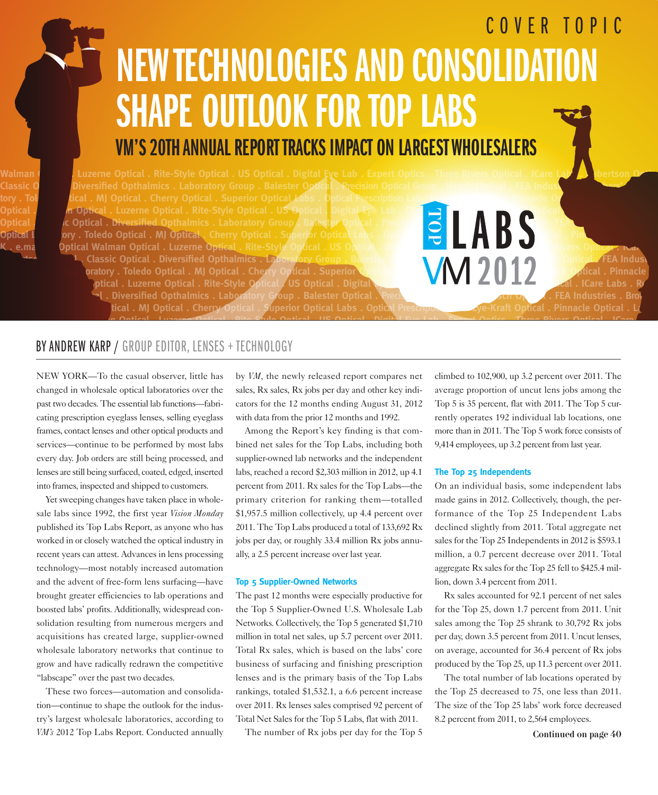# COVER TOPIC VM'S 20TH ANNUAL REPORT TRACKS IMPACT ON LARGEST WHOLESALERS **NEW TECHNOLOGIES AND CONSOLIDATIO** SHAPE OUTLOOK FOR TOP LABS

**Diversified Opthalmics . Laboratory Group . Balester Optical . Precision O** ical . MJ Optical . Cherry Optical . Superior Optical *L*abs . Optic **Optical . Luzerne Optical . Rite-Style Optical . US Optical . Digital Eye Lab . Experiment . Digital . Precisi**<br> **Coptical . Diversified Opthalmics . Laboratory Group . Batester Optical . Precisive and a series of the Riv C** Optical . Diversified Opthalmics . Laboratory Group **Optical Laboratory . Toledo Optical . MJ Optical . Cherry Optical . Superior Optical . e.ma Optical Walman Optical . Luzerne Optical . Rite-Style Optical . US** 

Classic Optical . Diversified Opthalmics . Laboratory Group . Balester Change . **Classic Optical . And Contain Contain Contain Contain Contain Contain Contain Contain Contain Contain Contain . Chern Optical . Primacle . Pr Bratory . Toledo Optical . MJ Optical . Cherry Optical . Superior Optical Caboratory . Toledo Optical . Pinnacle** ptical . Luzerne Optical . Rite-Style Optical . US Optical . Digita **Optical . Classified Opthalmics . Laboratory Group . Balester Optical . Precision Communist Crows . See Industries . Brothers' Optical . FEA Industries . Brothers' Optical Laboratory . Total Laboratory . Toledo Optical Laboratory . Toledo Optical Laboratory . In the set of the Superior Optical . Pinnacle Optical . Later . Later . Later . Later . Later . Later . Later . Later . Later . L** 

#### BY ANDREW KARP / GROUP EDITOR, LENSES + TECHNOLOGY

NEW YORK—To the casual observer, little has changed in wholesale optical laboratories over the past two decades. The essential lab functions—fabricating prescription eyeglass lenses, selling eyeglass frames, contact lenses and other optical products and services—continue to be performed by most labs every day. Job orders are still being processed, and lenses are still being surfaced, coated, edged, inserted into frames, inspected and shipped to customers.

Yet sweeping changes have taken place in wholesale labs since 1992, the first year *Vision Monday* published its Top Labs Report, as anyone who has worked in or closely watched the optical industry in recent years can attest. Advances in lens processing technology—most notably increased automation and the advent of free-form lens surfacing—have brought greater efficiencies to lab operations and boosted labs' profits. Additionally, widespread consolidation resulting from numerous mergers and acquisitions has created large, supplier-owned wholesale laboratory networks that continue to grow and have radically redrawn the competitive "labscape" over the past two decades.

These two forces—automation and consolidation—continue to shape the outlook for the industry's largest wholesale laboratories, according to *VM's* 2012 Top Labs Report. Conducted annually

by *VM*, the newly released report compares net sales, Rx sales, Rx jobs per day and other key indicators for the 12 months ending August 31, 2012 with data from the prior 12 months and 1992.

**e.magine Optical . Walman Optical . Luzerne Optical . Rite-Style Optical . US Optical . Digital Eye Lab . Expert Optics . Three Rivers Optical . ICare Labs . RSu**

Among the Report's key finding is that combined net sales for the Top Labs, including both supplier-owned lab networks and the independent labs, reached a record \$2,303 million in 2012, up 4.1 percent from 2011. Rx sales for the Top Labs—the primary criterion for ranking them—totalled \$1,957.5 million collectively, up 4.4 percent over 2011. The Top Labs produced a total of 133,692 Rx jobs per day, or roughly 33.4 million Rx jobs annually, a 2.5 percent increase over last year.

#### **Top 5 Supplier-Owned Networks**

The past 12 months were especially productive for the Top 5 Supplier-Owned U.S. Wholesale Lab Networks. Collectively, the Top 5 generated \$1,710 million in total net sales, up 5.7 percent over 2011. Total Rx sales, which is based on the labs' core business of surfacing and finishing prescription lenses and is the primary basis of the Top Labs rankings, totaled \$1,532.1, a 6.6 percent increase over 2011. Rx lenses sales comprised 92 percent of Total Net Sales for the Top 5 Labs, flat with 2011.

The number of Rx jobs per day for the Top 5

climbed to 102,900, up 3.2 percent over 2011. The average proportion of uncut lens jobs among the Top 5 is 35 percent, flat with 2011. The Top 5 currently operates 192 individual lab locations, one more than in 2011. The Top 5 work force consists of 9,414 employees, up 3.2 percent from last year.

#### **The Top 25 Independents**

On an individual basis, some independent labs made gains in 2012. Collectively, though, the performance of the Top 25 Independent Labs declined slightly from 2011. Total aggregate net sales for the Top 25 Independents in 2012 is \$593.1 million, a 0.7 percent decrease over 2011. Total aggregate Rx sales for the Top 25 fell to \$425.4 million, down 3.4 percent from 2011.

Rx sales accounted for 92.1 percent of net sales for the Top 25, down 1.7 percent from 2011. Unit sales among the Top 25 shrank to 30,792 Rx jobs per day, down 3.5 percent from 2011. Uncut lenses, on average, accounted for 36.4 percent of Rx jobs produced by the Top 25, up 11.3 percent over 2011.

The total number of lab locations operated by the Top 25 decreased to 75, one less than 2011. The size of the Top 25 labs' work force decreased 8.2 percent from 2011, to 2,564 employees.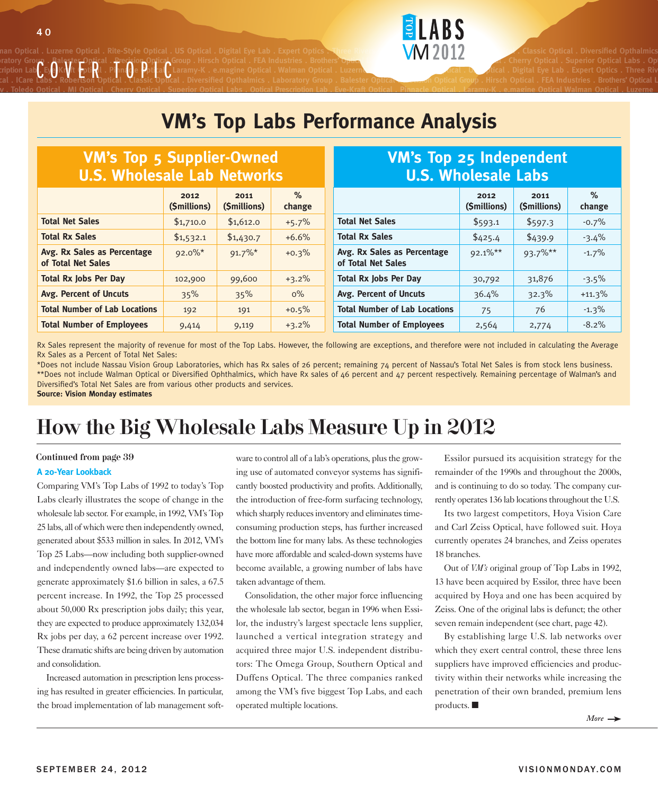nan Optical . Luzerne Optical . Rite-Style Optical . US Optical . Digital Eye Lab . Expert Optics . Three Rivers **WALLER . IN LABS . And . Luzerne Optical . Diversified Opthalmics** ratory Group . Balester Optical . Precision Optical Group . Hirsch Optical . FEA Industries . Brothers' Optical **MGC Optical Caboratory . To Cherry Optical . Superior Optical Labs . Op**tical Labs . Optical labs . Optical l **Prescription Lab . Eye-Kraft Optical . Pinnacle Optical . Laramy-K . e.magine Optical . Walman Optical . Luzerne Optical . Rite-Style Optical . US Optical . Digital Eye Lab . Expert Optics . Three Rivers**  cal . ICare Labs . Robertson Optical . Classic Optical . Diversified Opthalmics . Laboratory Group . Balester Optical <del>. ecasi</del>on Optical Group . Hirsch Optical . FEA Industries . Brothers' Optical L CE<sub>S</sub>OKIV t Epti**R**<sup>1</sup> PinaOe PotlaC<br>Labs . Robertson Optical . Llassic Optic

### **VM's Top Labs Performance Analysis**

**ELABS** 

**ratory . Toledo Optical . MJ Optical . Cherry Optical . Superior Optical Labs . Optical Prescription Lab . Eye-Kraft Optical . Pinnacle Optical . Laramy-K . e.magine Optical Walman Optical . Luzerne**

| <b>VM's Top 5 Supplier-Owned</b><br><b>U.S. Wholesale Lab Networks</b> |                      |                     |                | <b>VM's Top 25 Independent</b><br><b>U.S. Wholesale Labs</b>   |            |         |          |
|------------------------------------------------------------------------|----------------------|---------------------|----------------|----------------------------------------------------------------|------------|---------|----------|
|                                                                        | 2012<br>(\$millions) | 2011<br>(Smillions) | $\%$<br>change | $\%$<br>2011<br>2012<br>(\$millions)<br>(\$millions)<br>change |            |         |          |
| <b>Total Net Sales</b>                                                 | \$1,710.0            | \$1,612.0           | $+5.7%$        | <b>Total Net Sales</b>                                         | \$593.1    | \$597.3 | $-0.7\%$ |
| <b>Total Rx Sales</b>                                                  | \$1,532.1            | \$1,430.7           | $+6.6%$        | <b>Total Rx Sales</b>                                          | \$425.4    | \$439.9 | $-3.4\%$ |
| Avg. Rx Sales as Percentage<br>of Total Net Sales                      | $92.0\%$ *           | $91.7\%$ *          | $+0.3%$        | Avg. Rx Sales as Percentage<br>of Total Net Sales              | $92.1\%**$ | 93.7%** | $-1.7\%$ |
| <b>Total Rx Jobs Per Day</b>                                           | 102,900              | 99,600              | $+3.2%$        | <b>Total Rx Jobs Per Day</b>                                   | 30,792     | 31,876  | $-3.5\%$ |
| Avg. Percent of Uncuts                                                 | 35%                  | 35%                 | $0\%$          | Avg. Percent of Uncuts                                         | 36.4%      | 32.3%   | $+11.3%$ |
| <b>Total Number of Lab Locations</b>                                   | 192                  | 191                 | $+0.5%$        | <b>Total Number of Lab Locations</b>                           | 75         | 76      | $-1.3\%$ |
| <b>Total Number of Employees</b>                                       | 9,414                | 9,119               | $+3.2%$        | <b>Total Number of Employees</b>                               | 2,564      | 2,774   | $-8.2\%$ |

Rx Sales represent the majority of revenue for most of the Top Labs. However, the following are exceptions, and therefore were not included in calculating the Average Rx Sales as a Percent of Total Net Sales:

\*Does not include Nassau Vision Group Laboratories, which has Rx sales of 26 percent; remaining 74 percent of Nassau's Total Net Sales is from stock lens business. \*\*Does not include Walman Optical or Diversified Ophthalmics, which have Rx sales of 46 percent and 47 percent respectively. Remaining percentage of Walman's and Diversified's Total Net Sales are from various other products and services. **Source: Vision Monday estimates**

### How the Big Wholesale Labs Measure Up in 2012

#### Continued from page 39

#### **A 20-Year Lookback**

Comparing VM's Top Labs of 1992 to today's Top Labs clearly illustrates the scope of change in the wholesale lab sector. For example, in 1992, VM's Top 25 labs, all of which were then independently owned, generated about \$533 million in sales. In 2012, VM's Top 25 Labs—now including both supplier-owned and independently owned labs—are expected to generate approximately \$1.6 billion in sales, a 67.5 percent increase. In 1992, the Top 25 processed about 50,000 Rx prescription jobs daily; this year, they are expected to produce approximately 132,034 Rx jobs per day, a 62 percent increase over 1992. These dramatic shifts are being driven by automation and consolidation.

Increased automation in prescription lens processing has resulted in greater efficiencies. In particular, the broad implementation of lab management software to control all of a lab's operations, plus the growing use of automated conveyor systems has significantly boosted productivity and profits. Additionally, the introduction of free-form surfacing technology, which sharply reduces inventory and eliminates timeconsuming production steps, has further increased the bottom line for many labs. As these technologies have more affordable and scaled-down systems have become available, a growing number of labs have taken advantage of them.

Consolidation, the other major force influencing the wholesale lab sector, began in 1996 when Essilor, the industry's largest spectacle lens supplier, launched a vertical integration strategy and acquired three major U.S. independent distributors: The Omega Group, Southern Optical and Duffens Optical. The three companies ranked among the VM's five biggest Top Labs, and each operated multiple locations.

Essilor pursued its acquisition strategy for the remainder of the 1990s and throughout the 2000s, and is continuing to do so today. The company currently operates 136 lab locations throughout the U.S.

Its two largest competitors, Hoya Vision Care and Carl Zeiss Optical, have followed suit. Hoya currently operates 24 branches, and Zeiss operates 18 branches.

Out of *VM's* original group of Top Labs in 1992, 13 have been acquired by Essilor, three have been acquired by Hoya and one has been acquired by Zeiss. One of the original labs is defunct; the other seven remain independent (see chart, page 42).

By establishing large U.S. lab networks over which they exert central control, these three lens suppliers have improved efficiencies and productivity within their networks while increasing the penetration of their own branded, premium lens products.  $\blacksquare$ 

*More*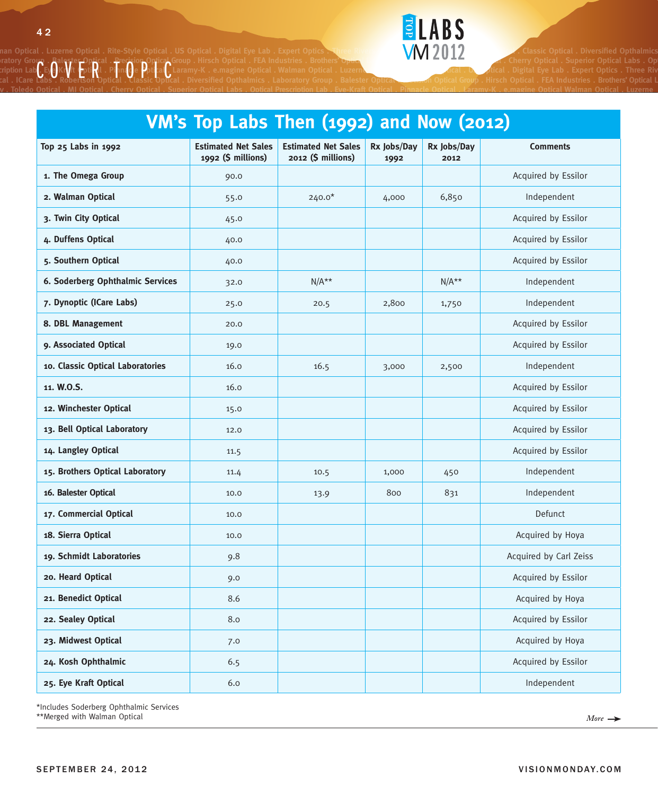



## **VM's Top Labs Then (1992) and Now (2012)**

| Top 25 Labs in 1992              | <b>Estimated Net Sales</b><br>1992 (\$ millions) | <b>Estimated Net Sales</b><br>2012 (\$ millions) | Rx Jobs/Day<br>1992 | Rx Jobs/Day<br>2012 | <b>Comments</b>        |
|----------------------------------|--------------------------------------------------|--------------------------------------------------|---------------------|---------------------|------------------------|
| 1. The Omega Group               | 90.0                                             |                                                  |                     |                     | Acquired by Essilor    |
| 2. Walman Optical                | 55.0                                             | $240.0*$                                         | 4,000               | 6,850               | Independent            |
| 3. Twin City Optical             | 45.0                                             |                                                  |                     |                     | Acquired by Essilor    |
| 4. Duffens Optical               | 40.0                                             |                                                  |                     |                     | Acquired by Essilor    |
| 5. Southern Optical              | 40.0                                             |                                                  |                     |                     | Acquired by Essilor    |
| 6. Soderberg Ophthalmic Services | 32.0                                             | $N/A**$                                          |                     | $N/A**$             | Independent            |
| 7. Dynoptic (ICare Labs)         | 25.0                                             | 20.5                                             | 2,800               | 1,750               | Independent            |
| 8. DBL Management                | 20.0                                             |                                                  |                     |                     | Acquired by Essilor    |
| 9. Associated Optical            | 19.0                                             |                                                  |                     |                     | Acquired by Essilor    |
| 10. Classic Optical Laboratories | 16.0                                             | 16.5                                             | 3,000               | 2,500               | Independent            |
| 11. W.O.S.                       | 16.0                                             |                                                  |                     |                     | Acquired by Essilor    |
| 12. Winchester Optical           | 15.0                                             |                                                  |                     |                     | Acquired by Essilor    |
| 13. Bell Optical Laboratory      | 12.0                                             |                                                  |                     |                     | Acquired by Essilor    |
| 14. Langley Optical              | 11.5                                             |                                                  |                     |                     | Acquired by Essilor    |
| 15. Brothers Optical Laboratory  | 11.4                                             | 10.5                                             | 1,000               | 450                 | Independent            |
| 16. Balester Optical             | 10.0                                             | 13.9                                             | 800                 | 831                 | Independent            |
| 17. Commercial Optical           | 10.0                                             |                                                  |                     |                     | Defunct                |
| 18. Sierra Optical               | 10.0                                             |                                                  |                     |                     | Acquired by Hoya       |
| 19. Schmidt Laboratories         | 9.8                                              |                                                  |                     |                     | Acquired by Carl Zeiss |
| 20. Heard Optical                | 9.0                                              |                                                  |                     |                     | Acquired by Essilor    |
| 21. Benedict Optical             | 8.6                                              |                                                  |                     |                     | Acquired by Hoya       |
| 22. Sealey Optical               | 8.0                                              |                                                  |                     |                     | Acquired by Essilor    |
| 23. Midwest Optical              | 7.0                                              |                                                  |                     |                     | Acquired by Hoya       |
| 24. Kosh Ophthalmic              | 6.5                                              |                                                  |                     |                     | Acquired by Essilor    |
| 25. Eye Kraft Optical            | 6.0                                              |                                                  |                     |                     | Independent            |

\*Includes Soderberg Ophthalmic Services

\*\*Merged with Walman Optical *More*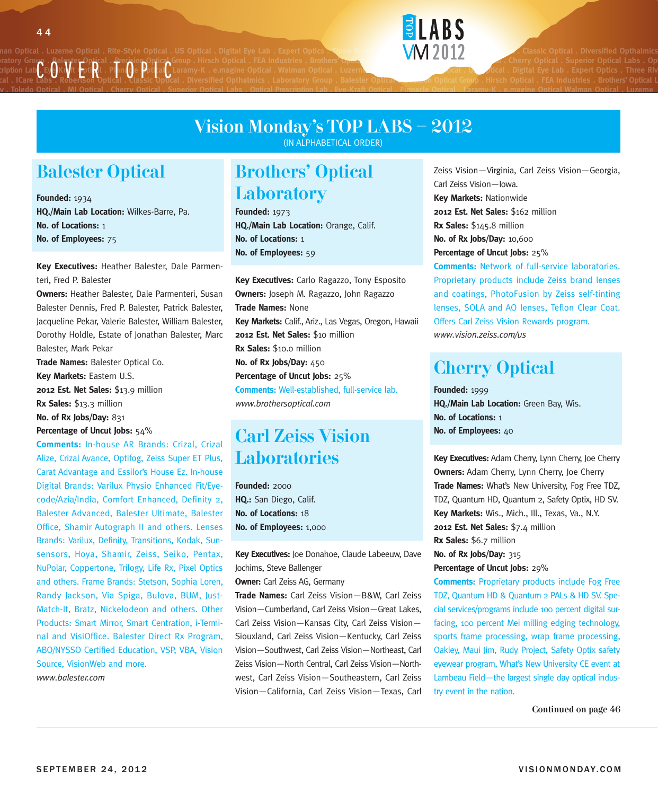

nan Optical . Luzerne Optical . Rite-Style Optical . US Optical . Digital Eye Lab . Expert Optics . Three Rivers **WALLER . IN LABS . And . Luzerne Optical . Diversified Opthalmics** ratory Group . Balester Optical . Precision Optical Group . Hirsch Optical . FEA Industries . Brothers' Optical **MGC Optical Caboratory . To Cherry Optical . Superior Optical Labs . Op**tical Labs . Optical labs . Optical l ratory Group . PaleSter Uppical . Precedior Optical Group . Hirsch Optical . FLA industries . Brothers' O<del>ptical</del><br>Cription Lab . Eye-Kraft Optical . Pinnacle Dottle . Laramy-K . e.magine Optical . Walman Optical . Luzerne cal . ICare Labs . Robertson Optical . Classic Optical . Diversified Opthalmics . Laboratory Group . Balester Optical <del>. ecasi</del>on Optical Group . Hirsch Optical . FEA Industries . Brothers' Optical L

### Vision Monday's TOP LABS – 2012

**ratory . Toledo Optical . MJ Optical . Cherry Optical . Superior Optical Labs . Optical Prescription Lab . Eye-Kraft Optical . Pinnacle Optical . Laramy-K . e.magine Optical Walman Optical . Luzerne**

(IN ALPHABETICAL ORDER)

#### Balester Optical

**Founded:** 1934 **HQ./Main Lab Location:** Wilkes-Barre, Pa. **No. of Locations:** 1 **No. of Employees:** 75

**Key Executives:** Heather Balester, Dale Parmenteri, Fred P. Balester

**Owners:** Heather Balester, Dale Parmenteri, Susan Balester Dennis, Fred P. Balester, Patrick Balester, Jacqueline Pekar, Valerie Balester, William Balester, Dorothy Holdle, Estate of Jonathan Balester, Marc Balester, Mark Pekar

**Trade Names:** Balester Optical Co. **Key Markets:** Eastern U.S. **2012 Est. Net Sales:** \$13.9 million **Rx Sales:** \$13.3 million **No. of Rx Jobs/Day:** 831 **Percentage of Uncut Jobs:** 54%

**Comments:** In-house AR Brands: Crizal, Crizal Alize, Crizal Avance, Optifog, Zeiss Super ET Plus, Carat Advantage and Essilor's House Ez. In-house Digital Brands: Varilux Physio Enhanced Fit/Eyecode/Azia/India, Comfort Enhanced, Definity 2, Balester Advanced, Balester Ultimate, Balester Office, Shamir Autograph II and others. Lenses Brands: Varilux, Definity, Transitions, Kodak, Sunsensors, Hoya, Shamir, Zeiss, Seiko, Pentax, NuPolar, Coppertone, Trilogy, Life Rx, Pixel Optics and others. Frame Brands: Stetson, Sophia Loren, Randy Jackson, Via Spiga, Bulova, BUM, Just-Match-It, Bratz, Nickelodeon and others. Other Products: Smart Mirror, Smart Centration, i-Terminal and VisiOffice. Balester Direct Rx Program, ABO/NYSSO Certified Education, VSP, VBA, Vision Source, VisionWeb and more. *www.balester.com*

#### Brothers' Optical **Laboratory**

**Founded:** 1973 **HQ./Main Lab Location:** Orange, Calif. **No. of Locations:** 1 **No. of Employees:** 59

**Key Executives:** Carlo Ragazzo, Tony Esposito **Owners:** Joseph M. Ragazzo, John Ragazzo **Trade Names:** None **Key Markets:** Calif., Ariz., Las Vegas, Oregon, Hawaii **2012 Est. Net Sales:** \$10 million **Rx Sales:** \$10.0 million **No. of Rx Jobs/Day:** 450 **Percentage of Uncut Jobs:** 25% **Comments:** Well-established, full-service lab. *www.brothersoptical.com*

### Carl Zeiss Vision **Laboratories**

**Founded:** 2000 **HQ.:** San Diego, Calif. **No. of Locations:** 18 **No. of Employees:** 1,000

**Key Executives:** Joe Donahoe, Claude Labeeuw, Dave Jochims, Steve Ballenger

**Owner:** Carl Zeiss AG, Germany

**Trade Names:** Carl Zeiss Vision—B&W, Carl Zeiss Vision—Cumberland, Carl Zeiss Vision—Great Lakes, Carl Zeiss Vision—Kansas City, Carl Zeiss Vision— Siouxland, Carl Zeiss Vision—Kentucky, Carl Zeiss Vision—Southwest, Carl Zeiss Vision—Northeast, Carl Zeiss Vision—North Central, Carl Zeiss Vision—Northwest, Carl Zeiss Vision—Southeastern, Carl Zeiss Vision—California, Carl Zeiss Vision—Texas, Carl Zeiss Vision—Virginia, Carl Zeiss Vision—Georgia, Carl Zeiss Vision—Iowa. **Key Markets:** Nationwide **2012 Est. Net Sales:** \$162 million **Rx Sales:** \$145.8 million **No. of Rx Jobs/Day:** 10,600 **Percentage of Uncut Jobs:** 25% **Comments:** Network of full-service laboratories. Proprietary products include Zeiss brand lenses and coatings, PhotoFusion by Zeiss self-tinting

lenses, SOLA and AO lenses, Teflon Clear Coat. Offers Carl Zeiss Vision Rewards program. *www.vision.zeiss.com/us*

### Cherry Optical

**Founded:** 1999 **HQ./Main Lab Location:** Green Bay, Wis. **No. of Locations:** 1 **No. of Employees:** 40

**Key Executives:** Adam Cherry, Lynn Cherry, Joe Cherry **Owners:** Adam Cherry, Lynn Cherry, Joe Cherry **Trade Names:** What's New University, Fog Free TDZ, TDZ, Quantum HD, Quantum 2, Safety Optix, HD SV. **Key Markets:** Wis., Mich., Ill., Texas, Va., N.Y. **2012 Est. Net Sales:** \$7.4 million **Rx Sales:** \$6.7 million **No. of Rx Jobs/Day:** 315 **Percentage of Uncut Jobs:** 29%

**Comments:** Proprietary products include Fog Free TDZ, Quantum HD & Quantum 2 PALs & HD SV. Special services/programs include 100 percent digital surfacing, 100 percent Mei milling edging technology, sports frame processing, wrap frame processing, Oakley, Maui Jim, Rudy Project, Safety Optix safety eyewear program, What's New University CE event at Lambeau Field—the largest single day optical industry event in the nation.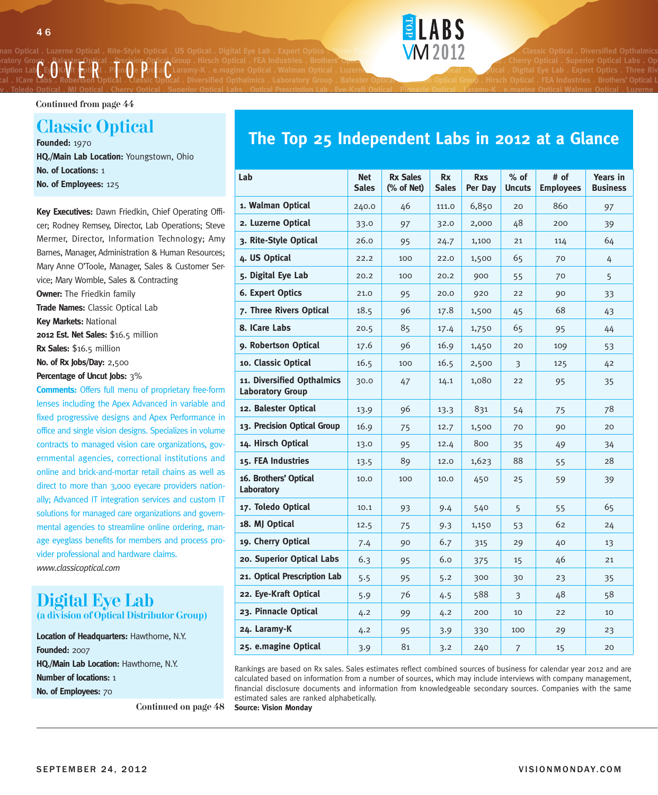### **ratory . Toledo Optical . MJ Optical . Cherry Optical . Superior Optical Labs . Optical Prescription Lab . Eye-Kraft Optical . Pinnacle Optical . Laramy-K . e.magine Optical Walman Optical . Luzerne** CE<sub>S</sub>OKIV t Epti**R**<sup>1</sup> PinaOe PotlaC<br>Labs . Robertson Optical . Llassic Optic

Continued from page 44

#### Classic Optical **Founded:** 1970

**HQ./Main Lab Location:** Youngstown, Ohio **No. of Locations:** 1 **No. of Employees:** 125

**Key Executives:** Dawn Friedkin, Chief Operating Officer; Rodney Remsey, Director, Lab Operations; Steve Mermer, Director, Information Technology; Amy Barnes, Manager, Administration & Human Resources; Mary Anne O'Toole, Manager, Sales & Customer Service; Mary Womble, Sales & Contracting **Owner:** The Friedkin family **Trade Names:** Classic Optical Lab **Key Markets:** National **2012 Est. Net Sales:** \$16.5 million **Rx Sales:** \$16.5 million **No. of Rx Jobs/Day:** 2,500 **Percentage of Uncut Jobs:** 3%

**Comments:** Offers full menu of proprietary free-form lenses including the Apex Advanced in variable and fixed progressive designs and Apex Performance in office and single vision designs. Specializes in volume contracts to managed vision care organizations, governmental agencies, correctional institutions and online and brick-and-mortar retail chains as well as direct to more than 3,000 eyecare providers nationally; Advanced IT integration services and custom IT solutions for managed care organizations and governmental agencies to streamline online ordering, manage eyeglass benefits for members and process provider professional and hardware claims. *www.classicoptical.com*

#### Digital Eye Lab (a division of Optical Distributor Group)

**Location of Headquarters:** Hawthorne, N.Y. **Founded:** 2007 **HQ./Main Lab Location:** Hawthorne, N.Y. **Number of locations:** 1 **No. of Employees:** 70

Continued on page 48 **Source: Vision Monday**



**ELARS** 

nan Optical . Luzerne Optical . Rite-Style Optical . US Optical . Digital Eye Lab . Expert Optics . Three Rivers **WALLER . IN LABS . And . Luzerne Optical . Diversified Opthalmics** 

### **The Top 25 Independent Labs in 2012 at a Glance**

| Lab                                                   | <b>Net</b><br><b>Sales</b> | <b>Rx Sales</b><br>(% of Net) | <b>Rx</b><br><b>Sales</b> | <b>Rxs</b><br>Per Day | $%$ of<br><b>Uncuts</b> | # of<br><b>Employees</b> | <b>Years in</b><br><b>Business</b> |
|-------------------------------------------------------|----------------------------|-------------------------------|---------------------------|-----------------------|-------------------------|--------------------------|------------------------------------|
| 1. Walman Optical                                     | 240.0                      | 46                            | 111.0                     | 6,850                 | 20                      | 860                      | 97                                 |
| 2. Luzerne Optical                                    | 33.0                       | 97                            | 32.0                      | 2,000                 | 48                      | 200                      | 39                                 |
| 3. Rite-Style Optical                                 | 26.0                       | 95                            | 24.7                      | 1,100                 | 21                      | 114                      | 64                                 |
| 4. US Optical                                         | 22.2                       | 100                           | 22.0                      | 1,500                 | 65                      | 70                       | 4                                  |
| 5. Digital Eye Lab                                    | 20.2                       | 100                           | 20.2                      | 900                   | 55                      | 70                       | 5                                  |
| 6. Expert Optics                                      | 21.0                       | 95                            | 20.0                      | 920                   | 22                      | 90                       | 33                                 |
| 7. Three Rivers Optical                               | 18.5                       | 96                            | 17.8                      | 1,500                 | 45                      | 68                       | 43                                 |
| 8. ICare Labs                                         | 20.5                       | 85                            | 17.4                      | 1,750                 | 65                      | 95                       | 44                                 |
| 9. Robertson Optical                                  | 17.6                       | 96                            | 16.9                      | 1,450                 | 20                      | 109                      | 53                                 |
| 10. Classic Optical                                   | 16.5                       | 100                           | 16.5                      | 2,500                 | 3                       | 125                      | 42                                 |
| 11. Diversified Opthalmics<br><b>Laboratory Group</b> | 30.0                       | 47                            | 14.1                      | 1,080                 | 22                      | 95                       | 35                                 |
| 12. Balester Optical                                  | 13.9                       | 96                            | 13.3                      | 831                   | 54                      | 75                       | 78                                 |
| 13. Precision Optical Group                           | 16.9                       | 75                            | 12.7                      | 1,500                 | 70                      | 90                       | 20                                 |
| 14. Hirsch Optical                                    | 13.0                       | 95                            | 12.4                      | 800                   | 35                      | 49                       | 34                                 |
| 15. FEA Industries                                    | 13.5                       | 89                            | 12.0                      | 1,623                 | 88                      | 55                       | 28                                 |
| 16. Brothers' Optical<br>Laboratory                   | 10.0                       | 100                           | 10.0                      | 450                   | 25                      | 59                       | 39                                 |
| 17. Toledo Optical                                    | 10.1                       | 93                            | 9.4                       | 540                   | 5                       | 55                       | 65                                 |
| 18. MJ Optical                                        | 12.5                       | 75                            | 9.3                       | 1,150                 | 53                      | 62                       | 24                                 |
| 19. Cherry Optical                                    | 7.4                        | 90                            | 6.7                       | 315                   | 29                      | 40                       | 13                                 |
| 20. Superior Optical Labs                             | 6.3                        | 95                            | 6.0                       | 375                   | 15                      | 46                       | 21                                 |
| 21. Optical Prescription Lab                          | 5.5                        | 95                            | 5.2                       | 300                   | 30                      | 23                       | 35                                 |
| 22. Eye-Kraft Optical                                 | 5.9                        | 76                            | 4.5                       | 588                   | 3                       | 48                       | 58                                 |
| 23. Pinnacle Optical                                  | 4.2                        | 99                            | 4.2                       | 200                   | 10                      | 22                       | 10                                 |
| 24. Laramy-K                                          | 4.2                        | 95                            | 3.9                       | 330                   | 100                     | 29                       | 23                                 |
| 25. e.magine Optical                                  | 3.9                        | 81                            | 3.2                       | 240                   | $\overline{7}$          | 15                       | 20                                 |

Rankings are based on Rx sales. Sales estimates reflect combined sources of business for calendar year 2012 and are calculated based on information from a number of sources, which may include interviews with company management, financial disclosure documents and information from knowledgeable secondary sources. Companies with the same estimated sales are ranked alphabetically.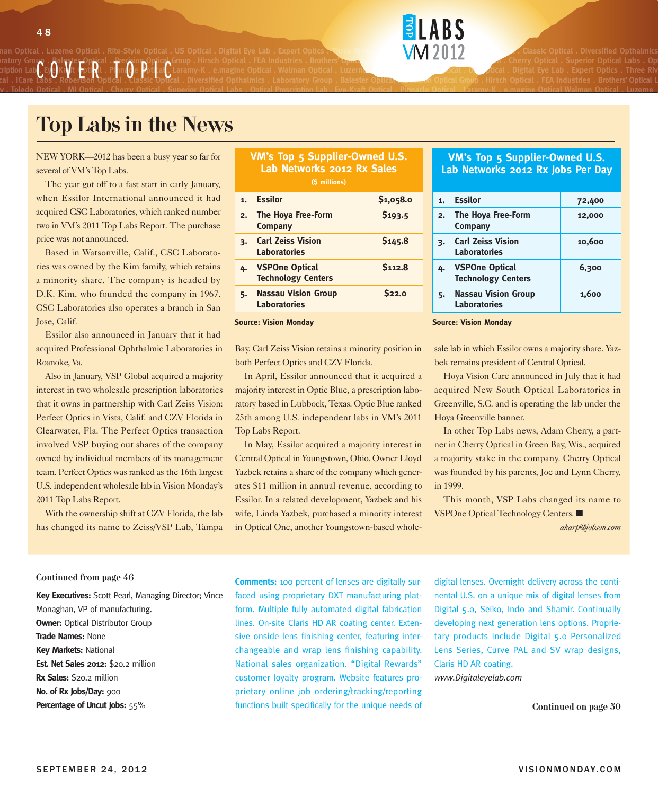# CEyOKrVit EptiRI Pilmage PoticalC

nan Optical . Luzerne Optical . Rite-Style Optical . US Optical . Digital Eye Lab . Expert Optics . Three Rivers **WALLER . IN LABS . And . Luzerne Optical . Diversified Opthalmics** ratory Group . Balester Optical . Precision Optical Group . Hirsch Optical . FEA Industries . Brothers' Optical **MGC Optical Caboratory . To Cherry Optical . Superior Optical Labs . Op**tical Labs . Optical labs . Optical l **Prescription Lab . Eye-Kraft Optical . Pinnacle Optical . Laramy-K . e.magine Optical . Walman Optical . Luzerne Optical . Rite-Style Optical . US Optical . Digital Eye Lab . Expert Optics . Three Rivers**  cal . ICare Labs . Robertson Optical . Classic Optical . Diversified Opthalmics . Laboratory Group . Balester Optical <del>. ecasi</del>on Optical Group . Hirsch Optical . FEA Industries . Brothers' Optical L



### Top Labs in the News

NEW YORK—2012 has been a busy year so far for several of VM's Top Labs.

The year got off to a fast start in early January, when Essilor International announced it had acquired CSC Laboratories, which ranked number two in VM's 2011 Top Labs Report. The purchase price was not announced.

Based in Watsonville, Calif., CSC Laboratories was owned by the Kim family, which retains a minority share. The company is headed by D.K. Kim, who founded the company in 1967. CSC Laboratories also operates a branch in San Jose, Calif.

Essilor also announced in January that it had acquired Professional Ophthalmic Laboratories in Roanoke, Va.

Also in January, VSP Global acquired a majority interest in two wholesale prescription laboratories that it owns in partnership with Carl Zeiss Vision: Perfect Optics in Vista, Calif. and CZV Florida in Clearwater, Fla. The Perfect Optics transaction involved VSP buying out shares of the company owned by individual members of its management team. Perfect Optics was ranked as the 16th largest U.S. independent wholesale lab in Vision Monday's 2011 Top Labs Report.

With the ownership shift at CZV Florida, the lab has changed its name to Zeiss/VSP Lab, Tampa

| <b>VM's Top 5 Supplier-Owned U.S.</b> |  |  |  |  |
|---------------------------------------|--|--|--|--|
| Lab Networks 2012 Rx Sales            |  |  |  |  |
| (S millions)                          |  |  |  |  |

**ratory . Toledo Optical . MJ Optical . Cherry Optical . Superior Optical Labs . Optical Prescription Lab . Eye-Kraft Optical . Pinnacle Optical . Laramy-K . e.magine Optical Walman Optical . Luzerne**

| 1. | <b>Essilor</b>                                     | \$1,058.0          |
|----|----------------------------------------------------|--------------------|
| 2. | <b>The Hoya Free-Form</b><br><b>Company</b>        | 5193.5             |
| 3. | <b>Carl Zeiss Vision</b><br><b>Laboratories</b>    | S <sub>145.8</sub> |
| 4. | <b>VSPOne Optical</b><br><b>Technology Centers</b> | <b>S112.8</b>      |
| 5. | <b>Nassau Vision Group</b><br><b>Laboratories</b>  | $S_{22.0}$         |

Bay. Carl Zeiss Vision retains a minority position in both Perfect Optics and CZV Florida.

In April, Essilor announced that it acquired a majority interest in Optic Blue, a prescription laboratory based in Lubbock, Texas. Optic Blue ranked 25th among U.S. independent labs in VM's 2011 Top Labs Report.

In May, Essilor acquired a majority interest in Central Optical in Youngstown, Ohio. Owner Lloyd Yazbek retains a share of the company which generates \$11 million in annual revenue, according to Essilor. In a related development, Yazbek and his wife, Linda Yazbek, purchased a minority interest in Optical One, another Youngstown-based whole-

#### **VM's Top 5 Supplier-Owned U.S. Lab Networks 2012 Rx Jobs Per Day**

| $\mathbf{1}$ | <b>Essilor</b>                                     | 72,400 |
|--------------|----------------------------------------------------|--------|
| 2.           | The Hoya Free-Form<br>Company                      | 12,000 |
| 3.           | <b>Carl Zeiss Vision</b><br><b>Laboratories</b>    | 10,600 |
| 4.           | <b>VSPOne Optical</b><br><b>Technology Centers</b> | 6,300  |
| 5.           | <b>Nassau Vision Group</b><br><b>Laboratories</b>  | 1,600  |

**Source: Vision Monday Source: Vision Monday**

sale lab in which Essilor owns a majority share. Yazbek remains president of Central Optical.

Hoya Vision Care announced in July that it had acquired New South Optical Laboratories in Greenville, S.C. and is operating the lab under the Hoya Greenville banner.

In other Top Labs news, Adam Cherry, a partner in Cherry Optical in Green Bay, Wis., acquired a majority stake in the company. Cherry Optical was founded by his parents, Joe and Lynn Cherry, in 1999.

This month, VSP Labs changed its name to VSPOne Optical Technology Centers. ■

*akarp@jobson.com*

Continued from page 46

**Key Executives:** Scott Pearl, Managing Director; Vince Monaghan, VP of manufacturing. **Owner:** Optical Distributor Group **Trade Names:** None **Key Markets:** National **Est. Net Sales 2012:** \$20.2 million **Rx Sales:** \$20.2 million **No. of Rx Jobs/Day:** 900 **Percentage of Uncut Jobs:** 55%

**Comments:** 100 percent of lenses are digitally surfaced using proprietary DXT manufacturing platform. Multiple fully automated digital fabrication lines. On-site Claris HD AR coating center. Extensive onside lens finishing center, featuring interchangeable and wrap lens finishing capability. National sales organization. "Digital Rewards" customer loyalty program. Website features proprietary online job ordering/tracking/reporting functions built specifically for the unique needs of digital lenses. Overnight delivery across the continental U.S. on a unique mix of digital lenses from Digital 5.0, Seiko, Indo and Shamir. Continually developing next generation lens options. Proprietary products include Digital 5.0 Personalized Lens Series, Curve PAL and SV wrap designs, Claris HD AR coating.

*www.Digitaleyelab.com*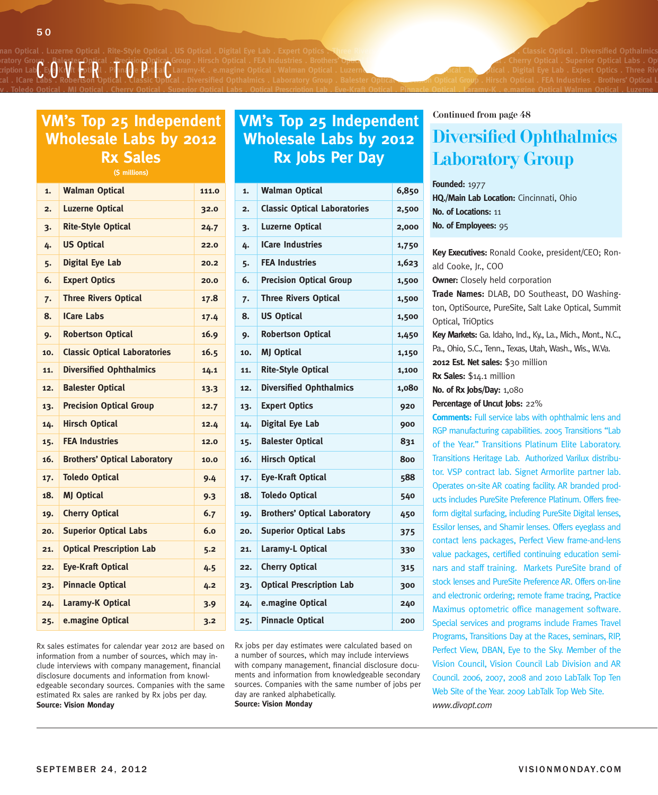ratory Group . Balester Optical . Precision Optical Group . Hirsch Optical . FEA Industries . Brothers' Optical **Channel Computer and Computer and Cherry Optical . Superior Optical Labs . Optical labs . Optical labs . Opti Prescription Lab . Eye-Kraft Optical . Pinnacle Optical . Laramy-K . e.magine Optical . Walman Optical . Luzerne Optical . Rite-Style Optical . US Optical . Digital Eye Lab . Expert Optics . Three Rivers**  cal . ICare Labs . Robertson Optical . Classic Optical . Diversified Opthalmics . Laboratory Group . Balester Optical <del>. ecasi</del>on Optical Group . Hirsch Optical . FEA Industries . Brothers' Optical L CEye Kryit (pptikl . Pinnage Pptital)

## **Wholesale Labs by 2012 Rx Sales**

**(\$ millions)**

| 1.               | <b>Walman Optical</b>               | 111.0 |
|------------------|-------------------------------------|-------|
| $\overline{2}$ . | <b>Luzerne Optical</b>              | 32.0  |
| 3.               | <b>Rite-Style Optical</b>           | 24.7  |
| 4.               | <b>US Optical</b>                   | 22.0  |
| 5.               | <b>Digital Eye Lab</b>              | 20.2  |
| 6.               | <b>Expert Optics</b>                | 20.0  |
| 7.               | <b>Three Rivers Optical</b>         | 17.8  |
| 8.               | <b>ICare Labs</b>                   | 17.4  |
| 9.               | <b>Robertson Optical</b>            | 16.9  |
| 10.              | <b>Classic Optical Laboratories</b> | 16.5  |
| 11.              | <b>Diversified Ophthalmics</b>      | 14.1  |
| 12.              | <b>Balester Optical</b>             | 13.3  |
| 13.              | <b>Precision Optical Group</b>      | 12.7  |
| 14.              | <b>Hirsch Optical</b>               | 12.4  |
| 15.              | <b>FEA Industries</b>               | 12.0  |
| 16.              | <b>Brothers' Optical Laboratory</b> | 10.0  |
| 17.              | <b>Toledo Optical</b>               | 9.4   |
| 18.              | <b>MJ Optical</b>                   | 9.3   |
| 19.              | <b>Cherry Optical</b>               | 6.7   |
| 20.              | <b>Superior Optical Labs</b>        | 6.0   |
| 21.              | <b>Optical Prescription Lab</b>     | 5.2   |
| 22.              | <b>Eye-Kraft Optical</b>            | 4.5   |
| 23.              | <b>Pinnacle Optical</b>             | 4.2   |
| 24.              | <b>Laramy-K Optical</b>             | 3.9   |
| 25.              | e.magine Optical                    | 3.2   |

Rx sales estimates for calendar year 2012 are based on information from a number of sources, which may include interviews with company management, financial disclosure documents and information from knowledgeable secondary sources. Companies with the same estimated Rx sales are ranked by Rx jobs per day. **Source: Vision Monday**

#### **VM's Top 25 Independent VM's Top 25 Independent** Continued from page 48 **Wholesale Labs by 2012 Rx Jobs Per Day**

**ratory . Toledo Optical . MJ Optical . Cherry Optical . Superior Optical Labs . Optical Prescription Lab . Eye-Kraft Optical . Pinnacle Optical . Laramy-K . e.magine Optical Walman Optical . Luzerne**

| 1.             | <b>Walman Optical</b>               | 6,850 |
|----------------|-------------------------------------|-------|
| $\overline{2}$ | <b>Classic Optical Laboratories</b> | 2,500 |
| 3.             | <b>Luzerne Optical</b>              | 2,000 |
| 4.             | <b>ICare Industries</b>             | 1,750 |
| 5.             | <b>FEA Industries</b>               | 1,623 |
| 6.             | <b>Precision Optical Group</b>      | 1,500 |
| 7.             | <b>Three Rivers Optical</b>         | 1,500 |
| 8.             | <b>US Optical</b>                   | 1,500 |
| 9.             | <b>Robertson Optical</b>            | 1,450 |
| 10.            | <b>MJ Optical</b>                   | 1,150 |
| 11.            | <b>Rite-Style Optical</b>           | 1,100 |
| 12.            | <b>Diversified Ophthalmics</b>      | 1,080 |
| 13.            | <b>Expert Optics</b>                | 920   |
| 14.            | <b>Digital Eye Lab</b>              | 900   |
| 15.            | <b>Balester Optical</b>             | 831   |
| 16.            | <b>Hirsch Optical</b>               | 800   |
| 17.            | <b>Eye-Kraft Optical</b>            | 588   |
| 18.            | <b>Toledo Optical</b>               | 540   |
| 19.            | <b>Brothers' Optical Laboratory</b> | 450   |
| 20.            | <b>Superior Optical Labs</b>        | 375   |
| 21.            | Laramy-L Optical                    | 330   |
| 22.            | <b>Cherry Optical</b>               | 315   |
| 23.            | <b>Optical Prescription Lab</b>     | 300   |
| 24.            | e.magine Optical                    | 240   |
| 25.            | <b>Pinnacle Optical</b>             | 200   |

Rx jobs per day estimates were calculated based on a number of sources, which may include interviews with company management, financial disclosure documents and information from knowledgeable secondary sources. Companies with the same number of jobs per day are ranked alphabetically. **Source: Vision Monday**

### Diversified Ophthalmics Laboratory Group

**Founded:** 1977 **HQ./Main Lab Location:** Cincinnati, Ohio **No. of Locations:** 11 **No. of Employees:** 95

**Key Executives:** Ronald Cooke, president/CEO; Ronald Cooke, Jr., COO **Owner:** Closely held corporation **Trade Names:** DLAB, DO Southeast, DO Washington, OptiSource, PureSite, Salt Lake Optical, Summit Optical, TriOptics **Key Markets:** Ga. Idaho, Ind., Ky., La., Mich., Mont., N.C., Pa., Ohio, S.C., Tenn., Texas, Utah, Wash., Wis., W.Va. **2012 Est. Net sales:** \$30 million **Rx Sales:** \$14.1 million **No. of Rx Jobs/Day:** 1,080 **Percentage of Uncut Jobs:** 22% **Comments:** Full service labs with ophthalmic lens and RGP manufacturing capabilities. 2005 Transitions "Lab of the Year." Transitions Platinum Elite Laboratory. Transitions Heritage Lab. Authorized Varilux distributor. VSP contract lab. Signet Armorlite partner lab. Operates on-site AR coating facility. AR branded products includes PureSite Preference Platinum. Offers freeform digital surfacing, including PureSite Digital lenses, Essilor lenses, and Shamir lenses. Offers eyeglass and contact lens packages, Perfect View frame-and-lens

value packages, certified continuing education seminars and staff training. Markets PureSite brand of stock lenses and PureSite Preference AR. Offers on-line and electronic ordering; remote frame tracing, Practice Maximus optometric office management software. Special services and programs include Frames Travel Programs, Transitions Day at the Races, seminars, RIP, Perfect View, DBAN, Eye to the Sky. Member of the Vision Council, Vision Council Lab Division and AR Council. 2006, 2007, 2008 and 2010 LabTalk Top Ten Web Site of the Year. 2009 LabTalk Top Web Site. *www.divopt.com*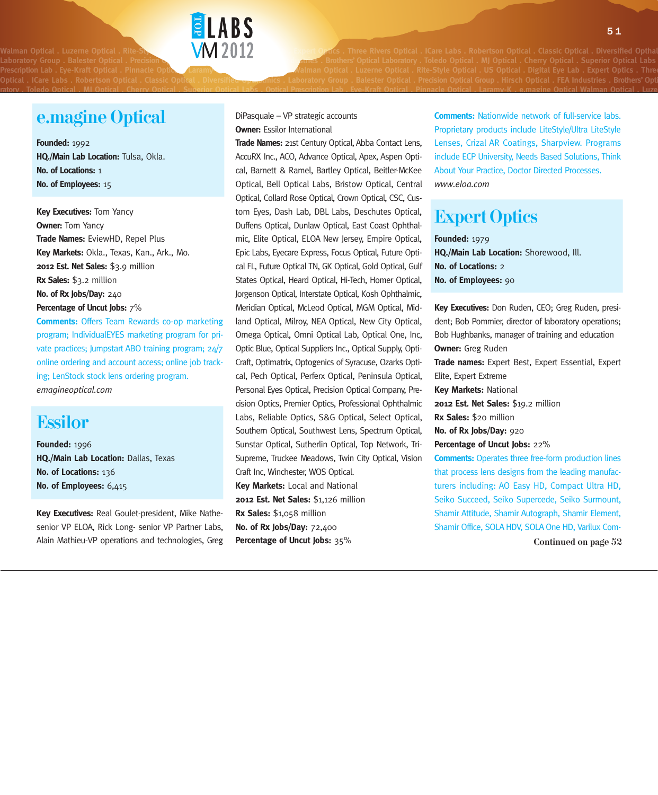Optical . ICare Labs . Robertson Optical . Classic Optical . Diversified <del>Opma</del>nnics . Laboratory Group . Balester Optical . Precision Optical Group . Hirsch Optical . FEA Industries . Brothers' Opti

#### e.magine Optical

**Founded:** 1992 **HQ./Main Lab Location:** Tulsa, Okla. **No. of Locations:** 1 **No. of Employees:** 15

**Key Executives:** Tom Yancy **Owner:** Tom Yancy **Trade Names:** EviewHD, Repel Plus **Key Markets:** Okla., Texas, Kan., Ark., Mo. **2012 Est. Net Sales:** \$3.9 million **Rx Sales:** \$3.2 million **No. of Rx Jobs/Day:** 240 **Percentage of Uncut Jobs:** 7%

**Comments:** Offers Team Rewards co-op marketing program; IndividualEYES marketing program for private practices; Jumpstart ABO training program; 24/7 online ordering and account access; online job tracking; LenStock stock lens ordering program. *emagineoptical.com*

#### Essilor

**Founded:** 1996 **HQ./Main Lab Location:** Dallas, Texas **No. of Locations:** 136 **No. of Employees:** 6,415

**Key Executives:** Real Goulet-president, Mike Nathesenior VP ELOA, Rick Long- senior VP Partner Labs, Alain Mathieu-VP operations and technologies, Greg DiPasquale – VP strategic accounts **Owner: Essilor International** 

**ELABS** 

ratory . Toledo Optical . MJ Optical . Cherry Optical . Superior Optical Labs . Optical Prescription Lab . Eve-Kraft Optical . Pinnacle Optical . Laramy-K . e.magine Optical Walman Optical . Luze

**Trade Names:** 21st Century Optical, Abba Contact Lens, AccuRX Inc., ACO, Advance Optical, Apex, Aspen Optical, Barnett & Ramel, Bartley Optical, Beitler-McKee Optical, Bell Optical Labs, Bristow Optical, Central Optical, Collard Rose Optical, Crown Optical, CSC, Custom Eyes, Dash Lab, DBL Labs, Deschutes Optical, Duffens Optical, Dunlaw Optical, East Coast Ophthalmic, Elite Optical, ELOA New Jersey, Empire Optical, Epic Labs, Eyecare Express, Focus Optical, Future Optical FL, Future Optical TN, GK Optical, Gold Optical, Gulf States Optical, Heard Optical, Hi-Tech, Homer Optical, Jorgenson Optical, Interstate Optical, Kosh Ophthalmic, Meridian Optical, McLeod Optical, MGM Optical, Midland Optical, Milroy, NEA Optical, New City Optical, Omega Optical, Omni Optical Lab, Optical One, Inc, Optic Blue, Optical Suppliers Inc., Optical Supply, Opti-Craft, Optimatrix, Optogenics of Syracuse, Ozarks Optical, Pech Optical, Perferx Optical, Peninsula Optical, Personal Eyes Optical, Precision Optical Company, Precision Optics, Premier Optics, Professional Ophthalmic Labs, Reliable Optics, S&G Optical, Select Optical, Southern Optical, Southwest Lens, Spectrum Optical, Sunstar Optical, Sutherlin Optical, Top Network, Tri-Supreme, Truckee Meadows, Twin City Optical, Vision Craft Inc, Winchester, WOS Optical. **Key Markets:** Local and National **2012 Est. Net Sales: \$1,126 million Rx Sales:** \$1,058 million **No. of Rx Jobs/Day:** 72,400 **Percentage of Uncut Jobs:** 35%

**Comments:** Nationwide network of full-service labs. Proprietary products include LiteStyle/Ultra LiteStyle Lenses, Crizal AR Coatings, Sharpview. Programs include ECP University, Needs Based Solutions, Think About Your Practice, Doctor Directed Processes. *www.eloa.com*

### Expert Optics

W**MD012** Expert Optics . Three Rivers Optical . ICare Labs . Robertson Optical . Classic Optical . Diversified Optha

**Founded:** 1979 **HQ./Main Lab Location:** Shorewood, Ill. **No. of Locations:** 2 **No. of Employees:** 90

**Key Executives:** Don Ruden, CEO; Greg Ruden, president; Bob Pommier, director of laboratory operations; Bob Hughbanks, manager of training and education **Owner:** Greg Ruden **Trade names:** Expert Best, Expert Essential, Expert Elite, Expert Extreme **Key Markets:** National **2012 Est. Net Sales:** \$19.2 million **Rx Sales:** \$20 million **No. of Rx Jobs/Day:** 920 **Percentage of Uncut Jobs:** 22% **Comments:** Operates three free-form production lines that process lens designs from the leading manufacturers including: AO Easy HD, Compact Ultra HD, Seiko Succeed, Seiko Supercede, Seiko Surmount, Shamir Attitude, Shamir Autograph, Shamir Element, Shamir Office, SOLA HDV, SOLA One HD, Varilux Com-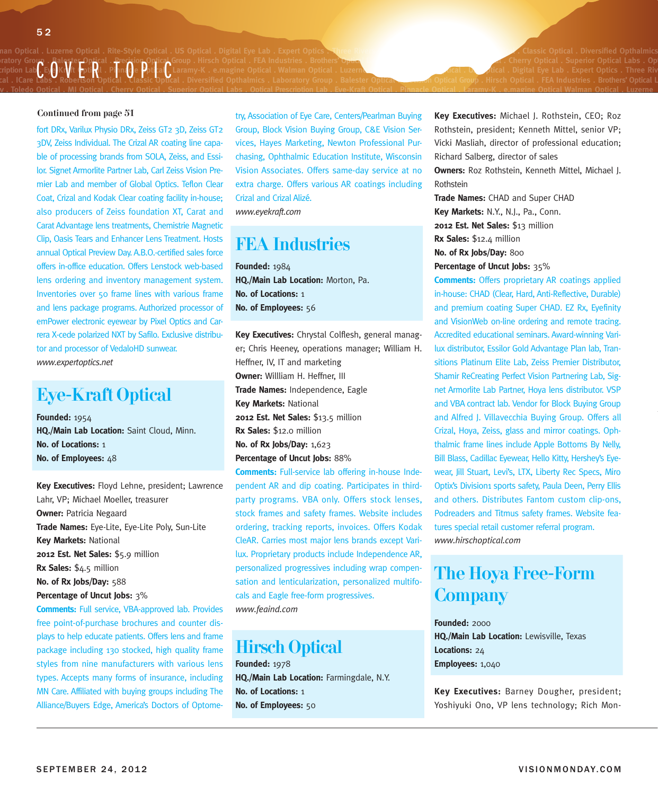#### an Optical . Luzerne Optical . Rite-Style Optical . US Optical . Digital Eye Lab . Expert Optics . Three Rivers **Walman Communist Classic Optical . Diversified Opthalmics** ratory Group . PaleSter Uppical . Precedior Optical Group . Hirsch Optical . FLA industries . Brothers' O<del>ptica</del><br>Cription Lab . Eye-Kraft Optical . Pinnacle Dottle . Laramy-K . e.magine Optical . Walman Optical . Luzerne \_ cal . ICare Labs . Robertson Optical . Classic Optical . Diversified Opthalmics . Laboratory Group . Balester Optical <del>. ecasi</del>on Optical Group . Hirsch Optical . FEA Industries . Brothers' Optical L

#### Continued from page 51

fort DRx, Varilux Physio DRx, Zeiss GT2 3D, Zeiss GT2 3DV, Zeiss Individual. The Crizal AR coating line capable of processing brands from SOLA, Zeiss, and Essilor. Signet Armorlite Partner Lab, Carl Zeiss Vision Premier Lab and member of Global Optics. Teflon Clear Coat, Crizal and Kodak Clear coating facility in-house; also producers of Zeiss foundation XT, Carat and Carat Advantage lens treatments, Chemistrie Magnetic Clip, Oasis Tears and Enhancer Lens Treatment. Hosts annual Optical Preview Day. A.B.O.-certified sales force offers in-office education. Offers Lenstock web-based lens ordering and inventory management system. Inventories over 50 frame lines with various frame and lens package programs. Authorized processor of emPower electronic eyewear by Pixel Optics and Carrera X-cede polarized NXT by Safilo. Exclusive distributor and processor of VedaloHD sunwear. *www.expertoptics.net*

#### Eye-Kraft Optical

**Founded:** 1954 **HQ./Main Lab Location:** Saint Cloud, Minn. **No. of Locations:** 1 **No. of Employees: 48** 

**Key Executives:** Floyd Lehne, president; Lawrence Lahr, VP; Michael Moeller, treasurer **Owner:** Patricia Negaard **Trade Names:** Eye-Lite, Eye-Lite Poly, Sun-Lite **Key Markets:** National **2012 Est. Net Sales:** \$5.9 million **Rx Sales:** \$4.5 million **No. of Rx Jobs/Day:** 588 **Percentage of Uncut Jobs:** 3%

**Comments:** Full service, VBA-approved lab. Provides free point-of-purchase brochures and counter displays to help educate patients. Offers lens and frame package including 130 stocked, high quality frame styles from nine manufacturers with various lens types. Accepts many forms of insurance, including MN Care. Affiliated with buying groups including The Alliance/Buyers Edge, America's Doctors of Optometry, Association of Eye Care, Centers/Pearlman Buying Group, Block Vision Buying Group, C&E Vision Services, Hayes Marketing, Newton Professional Purchasing, Ophthalmic Education Institute, Wisconsin Vision Associates. Offers same-day service at no extra charge. Offers various AR coatings including Crizal and Crizal Alizé. *www.eyekraft.com*

**ratory . Toledo Optical . MJ Optical . Cherry Optical . Superior Optical Labs . Optical Prescription Lab . Eye-Kraft Optical . Pinnacle Optical . Laramy-K . e.magine Optical Walman Optical . Luzerne**

#### FEA Industries

**Founded:** 1984 **HQ./Main Lab Location:** Morton, Pa. **No. of Locations:** 1 **No. of Employees:** 56

**Key Executives:** Chrystal Colflesh, general manager; Chris Heeney, operations manager; William H. Heffner, IV, IT and marketing **Owner:** Willliam H. Heffner, III **Trade Names:** Independence, Eagle **Key Markets:** National **2012 Est. Net Sales:** \$13.5 million **Rx Sales:** \$12.0 million **No. of Rx Jobs/Day:** 1,623 **Percentage of Uncut Jobs:** 88%

**Comments:** Full-service lab offering in-house Independent AR and dip coating. Participates in thirdparty programs. VBA only. Offers stock lenses, stock frames and safety frames. Website includes ordering, tracking reports, invoices. Offers Kodak CleAR. Carries most major lens brands except Varilux. Proprietary products include Independence AR, personalized progressives including wrap compensation and lenticularization, personalized multifocals and Eagle free-form progressives. *www.feaind.com*

### Hirsch Optical

**Founded:** 1978 **HQ./Main Lab Location:** Farmingdale, N.Y. **No. of Locations:** 1 **No. of Employees:** 50

**Key Executives:** Michael J. Rothstein, CEO; Roz Rothstein, president; Kenneth Mittel, senior VP; Vicki Masliah, director of professional education; Richard Salberg, director of sales **Owners:** Roz Rothstein, Kenneth Mittel, Michael J. Rothstein

**Trade Names:** CHAD and Super CHAD **Key Markets:** N.Y., N.J., Pa., Conn. **2012 Est. Net Sales:** \$13 million **Rx Sales:** \$12.4 million **No. of Rx Jobs/Day:** 800 **Percentage of Uncut Jobs:** 35%

**Comments:** Offers proprietary AR coatings applied in-house: CHAD (Clear, Hard, Anti-Reflective, Durable) and premium coating Super CHAD. EZ Rx, Eyefinity and VisionWeb on-line ordering and remote tracing. Accredited educational seminars. Award-winning Varilux distributor, Essilor Gold Advantage Plan lab, Transitions Platinum Elite Lab, Zeiss Premier Distributor, Shamir ReCreating Perfect Vision Partnering Lab, Signet Armorlite Lab Partner, Hoya lens distributor. VSP and VBA contract lab. Vendor for Block Buying Group and Alfred J. Villavecchia Buying Group. Offers all Crizal, Hoya, Zeiss, glass and mirror coatings. Ophthalmic frame lines include Apple Bottoms By Nelly, Bill Blass, Cadillac Eyewear, Hello Kitty, Hershey's Eyewear, Jill Stuart, Levi's, LTX, Liberty Rec Specs, Miro Optix's Division1 sports safety, Paula Deen, Perry Ellis and others. Distributes Fantom custom clip-ons, Podreaders and Titmus safety frames. Website features special retail customer referral program. *www.hirschoptical.com*

### The Hoya Free-Form **Company**

**Founded:** 2000 **HQ./Main Lab Location:** Lewisville, Texas **Locations:** 24 **Employees:** 1,040

**Key Executives:** Barney Dougher, president; Yoshiyuki Ono, VP lens technology; Rich Mon-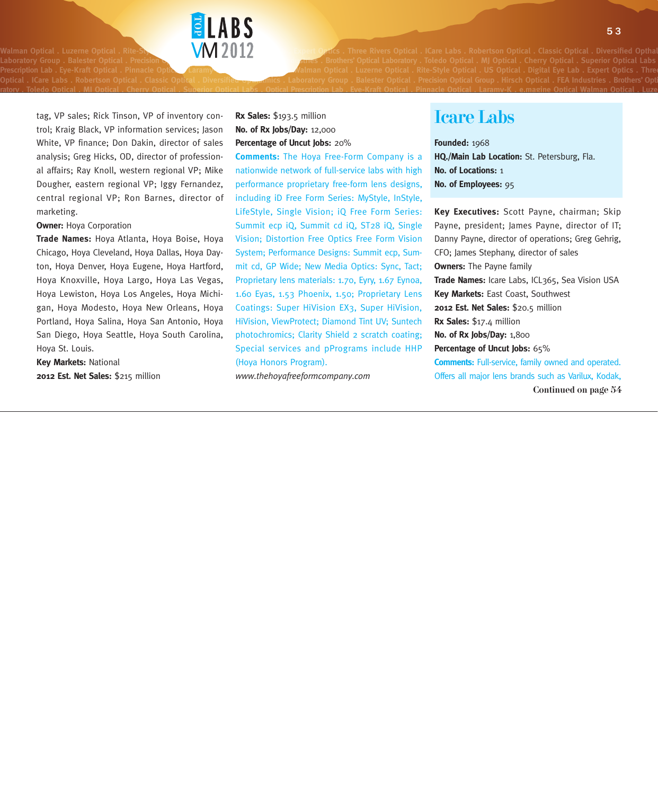

W**M** 2012 **Bang of Optics** . Three Rivers Optical . ICare Labs . Robertson Optical . Classic Optical . Diversified Optha Optical . ICare Labs . Robertson Optical . Classic Optical . Diversified <del>Opma</del>nnics . Laboratory Group . Balester Optical . Precision Optical Group . Hirsch Optical . FEA Industries . Brothers' Opti

tag, VP sales; Rick Tinson, VP of inventory control; Kraig Black, VP information services; Jason White, VP finance; Don Dakin, director of sales analysis; Greg Hicks, OD, director of professional affairs; Ray Knoll, western regional VP; Mike Dougher, eastern regional VP; Iggy Fernandez, central regional VP; Ron Barnes, director of marketing.

**Owner:** Hoya Corporation

**Trade Names:** Hoya Atlanta, Hoya Boise, Hoya Chicago, Hoya Cleveland, Hoya Dallas, Hoya Dayton, Hoya Denver, Hoya Eugene, Hoya Hartford, Hoya Knoxville, Hoya Largo, Hoya Las Vegas, Hoya Lewiston, Hoya Los Angeles, Hoya Michigan, Hoya Modesto, Hoya New Orleans, Hoya Portland, Hoya Salina, Hoya San Antonio, Hoya San Diego, Hoya Seattle, Hoya South Carolina, Hoya St. Louis.

**Key Markets:** National **2012 Est. Net Sales:** \$215 million

#### **Rx Sales:** \$193.5 million **No. of Rx Jobs/Day:** 12,000 **Percentage of Uncut Jobs:** 20%

**Comments:** The Hoya Free-Form Company is a nationwide network of full-service labs with high performance proprietary free-form lens designs, including iD Free Form Series: MyStyle, InStyle, LifeStyle, Single Vision; iQ Free Form Series: Summit ecp iQ, Summit cd iQ, ST28 iQ, Single Vision; Distortion Free Optics Free Form Vision System; Performance Designs: Summit ecp, Summit cd, GP Wide; New Media Optics: Sync, Tact; Proprietary lens materials: 1.70, Eyry, 1.67 Eynoa, 1.60 Eyas, 1.53 Phoenix, 1.50; Proprietary Lens Coatings: Super HiVision EX3, Super HiVision, HiVision, ViewProtect; Diamond Tint UV; Suntech photochromics; Clarity Shield 2 scratch coating; Special services and pPrograms include HHP (Hoya Honors Program).

ratory . Toledo Optical . MJ Optical . Cherry Optical . Superior Optical Labs . Optical Prescription Lab . Eve-Kraft Optical . Pinnacle Optical . Laramy-K . e.magine Optical Walman Optical . Luze

*www.thehoyafreeformcompany.com*

#### Icare Labs

**Founded:** 1968 **HQ./Main Lab Location:** St. Petersburg, Fla. **No. of Locations:** 1 **No. of Employees:** 95

Continued on page 54 **Key Executives:** Scott Payne, chairman; Skip Payne, president; James Payne, director of IT; Danny Payne, director of operations; Greg Gehrig, CFO; James Stephany, director of sales **Owners:** The Payne family **Trade Names:** Icare Labs, ICL365, Sea Vision USA **Key Markets:** East Coast, Southwest **2012 Est. Net Sales:** \$20.5 million **Rx Sales:** \$17.4 million **No. of Rx Jobs/Day:** 1,800 **Percentage of Uncut Jobs:** 65% **Comments:** Full-service, family owned and operated. Offers all major lens brands such as Varilux, Kodak,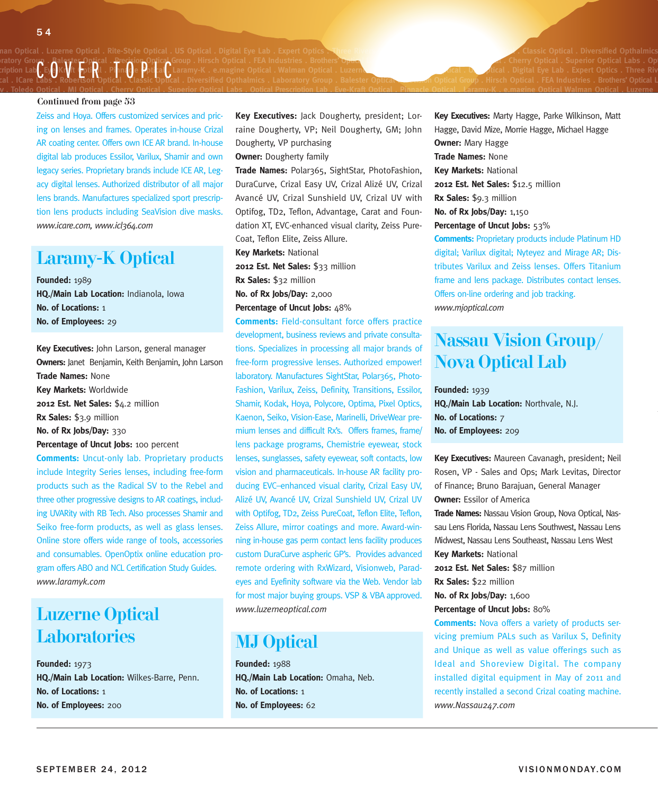#### an Optical . Luzerne Optical . Rite-Style Optical . US Optical . Digital Eye Lab . Expert Optics . Three Rivers **Walman Communist Class Communist . Classic Optical . Diversified Opthalmics** ratory Group . PaleSter Uppical . Precedior Optical Group . Hirsch Optical . FLA industries . Brothers' O<del>ptica</del><br>Cription Lab . Eye-Kraft Optical . Pinnacle Dottle . Laramy-K . e.magine Optical . Walman Optical . Luzerne \_ cal . ICare Labs . Robertson Optical . Classic Optical . Diversified Opthalmics . Laboratory Group . Balester Optical <del>. ecasi</del>on Optical Group . Hirsch Optical . FEA Industries . Brothers' Optical L

#### Continued from page 53

Zeiss and Hoya. Offers customized services and pricing on lenses and frames. Operates in-house Crizal AR coating center. Offers own ICE AR brand. In-house digital lab produces Essilor, Varilux, Shamir and own legacy series. Proprietary brands include ICE AR, Legacy digital lenses. Authorized distributor of all major lens brands. Manufactures specialized sport prescription lens products including SeaVision dive masks. *www.icare.com, www.icl364.com*

#### Laramy-K Optical

**Founded:** 1989 **HQ./Main Lab Location:** Indianola, Iowa **No. of Locations:** 1 **No. of Employees:** 29

**Key Executives:** John Larson, general manager **Owners:** Janet Benjamin, Keith Benjamin, John Larson **Trade Names:** None **Key Markets:** Worldwide 2012 Est. Net Sales: \$4.2 million **Rx Sales:** \$3.9 million **No. of Rx Jobs/Day:** 330 Percentage of Uncut Jobs: 100 percent **Comments:** Uncut-only lab. Proprietary products

include Integrity Series lenses, including free-form products such as the Radical SV to the Rebel and three other progressive designs to AR coatings, including UVARity with RB Tech. Also processes Shamir and Seiko free-form products, as well as glass lenses. Online store offers wide range of tools, accessories and consumables. OpenOptix online education program offers ABO and NCL Certification Study Guides. *www.laramyk.com*

### Luzerne Optical **Laboratories**

**Founded:** 1973 **HQ./Main Lab Location:** Wilkes-Barre, Penn. **No. of Locations:** 1 **No. of Employees:** 200

**Key Executives:** Jack Dougherty, president; Lorraine Dougherty, VP; Neil Dougherty, GM; John Dougherty, VP purchasing

**ratory . Toledo Optical . MJ Optical . Cherry Optical . Superior Optical Labs . Optical Prescription Lab . Eye-Kraft Optical . Pinnacle Optical . Laramy-K . e.magine Optical Walman Optical . Luzerne**

**Owner:** Dougherty family

**Trade Names:** Polar365, SightStar, PhotoFashion, DuraCurve, Crizal Easy UV, Crizal Alizé UV, Crizal Avancé UV, Crizal Sunshield UV, Crizal UV with Optifog, TD2, Teflon, Advantage, Carat and Foundation XT, EVC-enhanced visual clarity, Zeiss Pure-Coat, Teflon Elite, Zeiss Allure.

**Key Markets:** National **2012 Est. Net Sales:** \$33 million **Rx Sales:** \$32 million **No. of Rx Jobs/Day:** 2,000 **Percentage of Uncut Jobs: 48%** 

**Comments:** Field-consultant force offers practice development, business reviews and private consultations. Specializes in processing all major brands of free-form progressive lenses. Authorized empower! laboratory. Manufactures SightStar, Polar365, Photo-Fashion, Varilux, Zeiss, Definity, Transitions, Essilor, Shamir, Kodak, Hoya, Polycore, Optima, Pixel Optics, Kaenon, Seiko, Vision-Ease, Marinelli, DriveWear premium lenses and difficult Rx's. Offers frames, frame/ lens package programs, Chemistrie eyewear, stock lenses, sunglasses, safety eyewear, soft contacts, low vision and pharmaceuticals. In-house AR facility producing EVC–enhanced visual clarity, Crizal Easy UV, Alizé UV, Avancé UV, Crizal Sunshield UV, Crizal UV with Optifog, TD2, Zeiss PureCoat, Teflon Elite, Teflon, Zeiss Allure, mirror coatings and more. Award-winning in-house gas perm contact lens facility produces custom DuraCurve aspheric GP's. Provides advanced remote ordering with RxWizard, Visionweb, Paradeyes and Eyefinity software via the Web. Vendor lab for most major buying groups. VSP & VBA approved. *www.luzerneoptical.com*

### MJ Optical

**Founded:** 1988 **HQ./Main Lab Location:** Omaha, Neb. **No. of Locations:** 1 **No. of Employees:** 62

**Key Executives:** Marty Hagge, Parke Wilkinson, Matt Hagge, David Mize, Morrie Hagge, Michael Hagge **Owner:** Mary Hagge **Trade Names:** None **Key Markets:** National **2012 Est. Net Sales:** \$12.5 million **Rx Sales:** \$9.3 million **No. of Rx Jobs/Day:** 1,150 **Percentage of Uncut Jobs:** 53% **Comments:** Proprietary products include Platinum HD digital; Varilux digital; Nyteyez and Mirage AR; Distributes Varilux and Zeiss lenses. Offers Titanium frame and lens package. Distributes contact lenses. Offers on-line ordering and job tracking.

*www.mjoptical.com*

### Nassau Vision Group/ Nova Optical Lab

#### **Founded:** 1939

**HQ./Main Lab Location:** Northvale, N.J. **No. of Locations:** 7 **No. of Employees:** 209

**Key Executives:** Maureen Cavanagh, president; Neil Rosen, VP - Sales and Ops; Mark Levitas, Director of Finance; Bruno Barajuan, General Manager **Owner:** Essilor of America **Trade Names:** Nassau Vision Group, Nova Optical, Nassau Lens Florida, Nassau Lens Southwest, Nassau Lens Midwest, Nassau Lens Southeast, Nassau Lens West **Key Markets:** National **2012 Est. Net Sales:** \$87 million **Rx Sales:** \$22 million

**No. of Rx Jobs/Day:** 1,600

**Percentage of Uncut Jobs:** 80%

**Comments:** Nova offers a variety of products servicing premium PALs such as Varilux S, Definity and Unique as well as value offerings such as Ideal and Shoreview Digital. The company installed digital equipment in May of 2011 and recently installed a second Crizal coating machine. *www.Nassau247.com*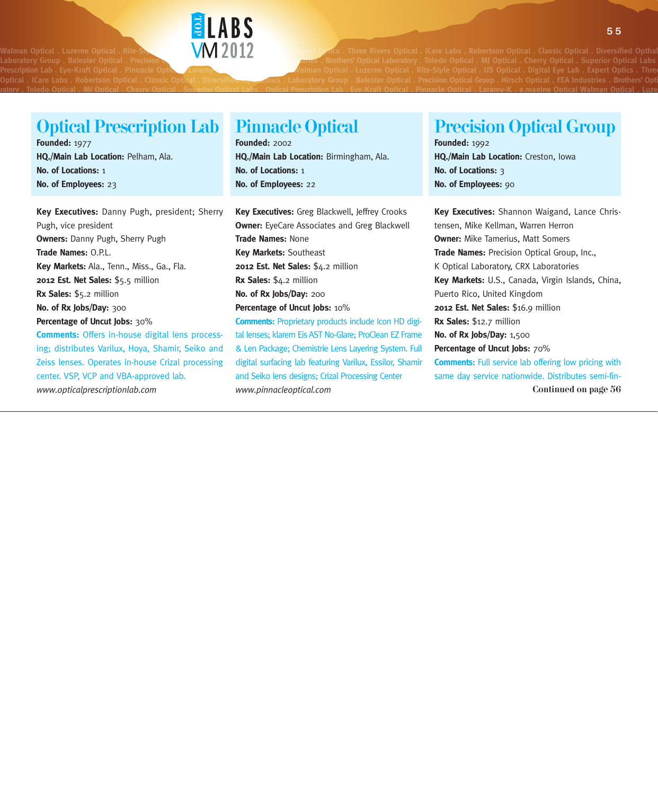

W**M** 2012 **Bana Optics** . Three Rivers Optical . ICare Labs . Robertson Optical . Classic Optical . Diversified Optha Prescription Lab . Eye-Kraft Optical . Pinnacle Optical Laramy **And Alman Optical . Luzerne Optical . Rite-Style Optical . US Optical . Digital Eye Lab . Expert Optics . Three Rivers <b>Prescription Lab . Expert Optics . Thr** Optical . ICare Labs . Robertson Optical . Classic Optical . Diversified <del>Opma</del>nnics . Laboratory Group . Balester Optical . Precision Optical Group . Hirsch Optical . FEA Industries . Brothers' Opti

### Optical Prescription Lab

**Founded:** 1977 **HQ./Main Lab Location:** Pelham, Ala. **No. of Locations:** 1 **No. of Employees:** 23

**Key Executives:** Danny Pugh, president; Sherry Pugh, vice president **Owners:** Danny Pugh, Sherry Pugh **Trade Names:** O.P.L. **Key Markets:** Ala., Tenn., Miss., Ga., Fla. **2012 Est. Net Sales:** \$5.5 million **Rx Sales:** \$5.2 million **No. of Rx Jobs/Day:** 300 **Percentage of Uncut Jobs:** 30% **Comments:** Offers in-house digital lens process-

ing; distributes Varilux, Hoya, Shamir, Seiko and Zeiss lenses. Operates in-house Crizal processing center. VSP, VCP and VBA-approved lab. *www.opticalprescriptionlab.com*

### Pinnacle Optical

**Founded:** 2002 **HQ./Main Lab Location:** Birmingham, Ala. **No. of Locations:** 1 **No. of Employees:** 22

ratory . Toledo Optical . MJ Optical . Cherry Optical . Superior Optical Labs . Optical Prescription Lab . Eve-Kraft Optical . Pinnacle Optical . Laramy-K . e.magine Optical Walman Optical . Luze

**Key Executives:** Greg Blackwell, Jeffrey Crooks **Owner:** EyeCare Associates and Greg Blackwell **Trade Names:** None **Key Markets:** Southeast 2012 Est. Net Sales: \$4.2 million **Rx Sales:** \$4.2 million **No. of Rx Jobs/Day:** 200 **Percentage of Uncut Jobs:** 10% **Comments:** Proprietary products include Icon HD digital lenses; klarem Eis AST No-Glare; ProClean EZ Frame & Len Package; Chemistrie Lens Layering System. Full digital surfacing lab featuring Varilux, Essilor, Shamir

and Seiko lens designs; Crizal Processing Center

*www.pinnacleoptical.com*

#### **Founded:** 1992 **HQ./Main Lab Location:** Creston, Iowa **No. of Locations:** 3

Precision Optical Group

**No. of Employees:** 90

Continued on page 56 **Key Executives:** Shannon Waigand, Lance Christensen, Mike Kellman, Warren Herron **Owner:** Mike Tamerius, Matt Somers **Trade Names:** Precision Optical Group, Inc., K Optical Laboratory, CRX Laboratories **Key Markets:** U.S., Canada, Virgin Islands, China, Puerto Rico, United Kingdom **2012 Est. Net Sales:** \$16.9 million **Rx Sales:** \$12.7 million **No. of Rx Jobs/Day:** 1,500 **Percentage of Uncut Jobs:** 70% **Comments:** Full service lab offering low pricing with same day service nationwide. Distributes semi-fin-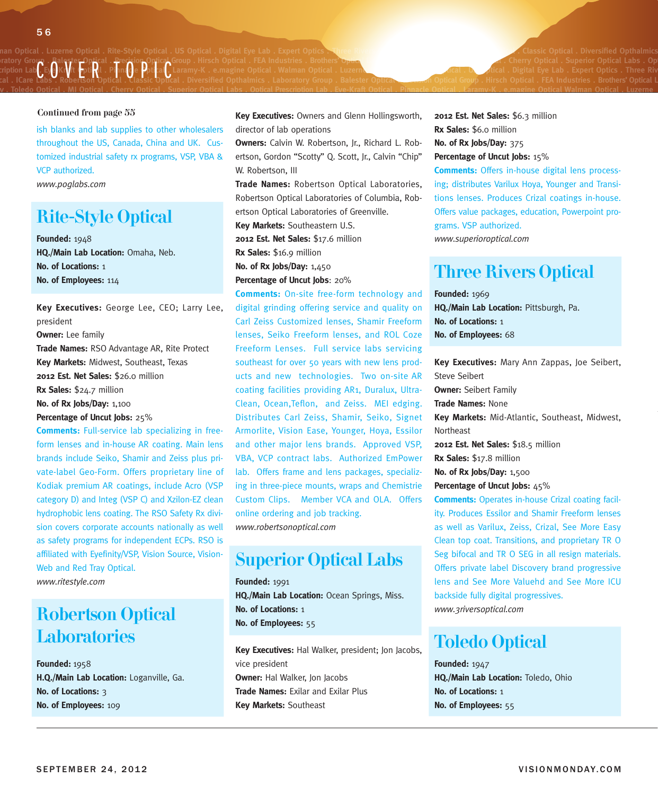#### nan Optical . Luzerne Optical . Rite-Style Optical . US Optical . Digital Eye Lab . Expert Optics . Three Rivers and Decembers 2008 . And Diversified Opthalmics . Classic Optical . Diversified Opthalmics . . . . . . . . . ratory Group . Balester Optical . Precision Optical Group . Hirsch Optical . FEA Industries . Brothers' Optical **Channel Computer and Computer and Cherry Optical . Superior Optical Labs . Optical labs . Optical labs . Opti** ratory Group . PaleSter Uppical . Precedior Optical Group . Hirsch Optical . FLA industries . Brothers' O<del>ptica</del><br>Cription Lab . Eye-Kraft Optical . Pinnacle Dottle . Laramy-K . e.magine Optical . Walman Optical . Luzerne \_ cal . ICare Labs . Robertson Optical . Classic Optical . Diversified Opthalmics . Laboratory Group . Balester Optical <del>. ecasi</del>on Optical Group . Hirsch Optical . FEA Industries . Brothers' Optical L

#### Continued from page 55

ish blanks and lab supplies to other wholesalers throughout the US, Canada, China and UK. Customized industrial safety rx programs, VSP, VBA & VCP authorized.

*www.poglabs.com*

#### Rite-Style Optical

**Founded:** 1948 **HQ./Main Lab Location:** Omaha, Neb. **No. of Locations:** 1 **No. of Employees:** 114

**Key Executives:** George Lee, CEO; Larry Lee, president **Owner:** Lee family **Trade Names:** RSO Advantage AR, Rite Protect **Key Markets:** Midwest, Southeast, Texas **2012 Est. Net Sales:** \$26.0 million **Rx Sales:** \$24.7 million **No. of Rx Jobs/Day:** 1,100 **Percentage of Uncut Jobs:** 25%

**Comments:** Full-service lab specializing in freeform lenses and in-house AR coating. Main lens brands include Seiko, Shamir and Zeiss plus private-label Geo-Form. Offers proprietary line of Kodiak premium AR coatings, include Acro (VSP category D) and Integ (VSP C) and Xzilon-EZ clean hydrophobic lens coating. The RSO Safety Rx division covers corporate accounts nationally as well as safety programs for independent ECPs. RSO is affiliated with Eyefinity/VSP, Vision Source, Vision-Web and Red Tray Optical. *www.ritestyle.com*

### Robertson Optical **Laboratories**

**Founded:** 1958 **H.Q./Main Lab Location:** Loganville, Ga. **No. of Locations:** 3 **No. of Employees:** 109

**Key Executives:** Owners and Glenn Hollingsworth, director of lab operations

**ratory . Toledo Optical . MJ Optical . Cherry Optical . Superior Optical Labs . Optical Prescription Lab . Eye-Kraft Optical . Pinnacle Optical . Laramy-K . e.magine Optical Walman Optical . Luzerne**

**Owners:** Calvin W. Robertson, Jr., Richard L. Robertson, Gordon "Scotty" Q. Scott, Jr., Calvin "Chip" W. Robertson, III

**Trade Names:** Robertson Optical Laboratories, Robertson Optical Laboratories of Columbia, Robertson Optical Laboratories of Greenville. **Key Markets:** Southeastern U.S.

**2012 Est. Net Sales:** \$17.6 million

**Rx Sales:** \$16.9 million

**No. of Rx Jobs/Day:** 1,450

**Percentage of Uncut Jobs**: 20%

**Comments:** On-site free-form technology and digital grinding offering service and quality on Carl Zeiss Customized lenses, Shamir Freeform lenses, Seiko Freeform lenses, and ROL Coze Freeform Lenses. Full service labs servicing southeast for over 50 years with new lens products and new technologies. Two on-site AR coating facilities providing AR1, Duralux, Ultra-Clean, Ocean,Teflon, and Zeiss. MEI edging. Distributes Carl Zeiss, Shamir, Seiko, Signet Armorlite, Vision Ease, Younger, Hoya, Essilor and other major lens brands. Approved VSP, VBA, VCP contract labs. Authorized EmPower lab. Offers frame and lens packages, specializing in three-piece mounts, wraps and Chemistrie Custom Clips. Member VCA and OLA. Offers online ordering and job tracking. *www.robertsonoptical.com*

#### Superior Optical Labs

**Founded:** 1991 **HQ./Main Lab Location:** Ocean Springs, Miss. **No. of Locations:** 1 **No. of Employees:** 55

**Key Executives:** Hal Walker, president; Jon Jacobs, vice president **Owner:** Hal Walker, Jon Jacobs **Trade Names:** Exilar and Exilar Plus **Key Markets:** Southeast

**2012 Est. Net Sales:** \$6.3 million **Rx Sales:** \$6.0 million **No. of Rx Jobs/Day:** 375 **Percentage of Uncut Jobs:** 15%

**Comments:** Offers in-house digital lens processing; distributes Varilux Hoya, Younger and Transitions lenses. Produces Crizal coatings in-house. Offers value packages, education, Powerpoint programs. VSP authorized. *www.superioroptical.com*

### Three Rivers Optical

**Founded:** 1969 **HQ./Main Lab Location:** Pittsburgh, Pa. **No. of Locations:** 1 **No. of Employees:** 68

**Key Executives:** Mary Ann Zappas, Joe Seibert, Steve Seibert **Owner:** Seibert Family **Trade Names:** None **Key Markets:** Mid-Atlantic, Southeast, Midwest, Northeast **2012 Est. Net Sales:** \$18.5 million **Rx Sales:** \$17.8 million **No. of Rx Jobs/Day:** 1,500 **Percentage of Uncut Jobs:** 45% **Comments:** Operates in-house Crizal coating facility. Produces Essilor and Shamir Freeform lenses

as well as Varilux, Zeiss, Crizal, See More Easy Clean top coat. Transitions, and proprietary TR O Seg bifocal and TR O SEG in all resign materials. Offers private label Discovery brand progressive lens and See More Valuehd and See More ICU backside fully digital progressives. *www.3riversoptical.com*

#### Toledo Optical

**Founded:** 1947 **HQ./Main Lab Location:** Toledo, Ohio **No. of Locations:** 1 **No. of Employees:** 55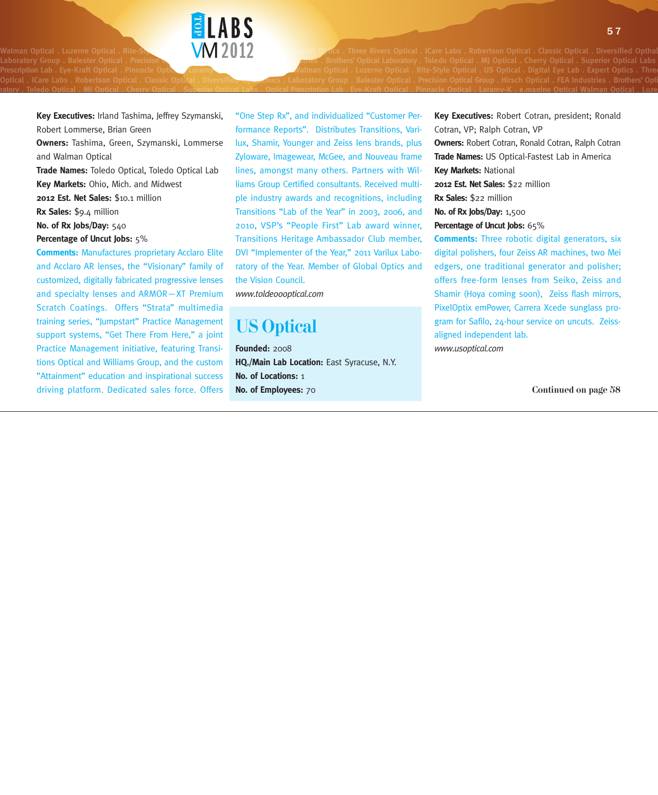W**M** 2012 **Bang of Optics** . Three Rivers Optical . ICare Labs . Robertson Optical . Classic Optical . Diversified Optha Optical . ICare Labs . Robertson Optical . Classic Optical . Diversified <del>Opma</del>nnics . Laboratory Group . Balester Optical . Precision Optical Group . Hirsch Optical . FEA Industries . Brothers' Opti

**Key Executives:** Irland Tashima, Jeffrey Szymanski, Robert Lommerse, Brian Green

**ELABS** 

**Owners:** Tashima, Green, Szymanski, Lommerse and Walman Optical

**Trade Names:** Toledo Optical, Toledo Optical Lab **Key Markets:** Ohio, Mich. and Midwest

**2012 Est. Net Sales:** \$10.1 million

**Rx Sales:** \$9.4 million

**No. of Rx Jobs/Day:** 540

#### **Percentage of Uncut Jobs:** 5%

**Comments:** Manufactures proprietary Acclaro Elite and Acclaro AR lenses, the "Visionary" family of customized, digitally fabricated progressive lenses and specialty lenses and ARMOR—XT Premium Scratch Coatings. Offers "Strata" multimedia training series, "Jumpstart" Practice Management support systems, "Get There From Here," a joint Practice Management initiative, featuring Transitions Optical and Williams Group, and the custom "Attainment" education and inspirational success driving platform. Dedicated sales force. Offers

"One Step Rx", and individualized "Customer Performance Reports". Distributes Transitions, Varilux, Shamir, Younger and Zeiss lens brands, plus Zyloware, Imagewear, McGee, and Nouveau frame lines, amongst many others. Partners with Williams Group Certified consultants. Received multiple industry awards and recognitions, including Transitions "Lab of the Year" in 2003, 2006, and 2010, VSP's "People First" Lab award winner, Transitions Heritage Ambassador Club member, DVI "Implementer of the Year," 2011 Varilux Laboratory of the Year. Member of Global Optics and the Vision Council.

ratory . Toledo Optical . MJ Optical . Cherry Optical . Superior Optical Labs . Optical Prescription Lab . Eve-Kraft Optical . Pinnacle Optical . Laramy-K . e.magine Optical Walman Optical . Luze

*www.toldeoooptical.com*

#### US Optical

**Founded:** 2008 **HQ./Main Lab Location:** East Syracuse, N.Y. **No. of Locations:** 1 **No. of Employees:** 70

**Key Executives:** Robert Cotran, president; Ronald Cotran, VP; Ralph Cotran, VP **Owners:** Robert Cotran, Ronald Cotran, Ralph Cotran **Trade Names:** US Optical-Fastest Lab in America **Key Markets:** National **2012 Est. Net Sales:** \$22 million **Rx Sales:** \$22 million **No. of Rx Jobs/Day:** 1,500 **Percentage of Uncut Jobs:** 65% **Comments:** Three robotic digital generators, six digital polishers, four Zeiss AR machines, two Mei edgers, one traditional generator and polisher; offers free-form lenses from Seiko, Zeiss and

Shamir (Hoya coming soon), Zeiss flash mirrors, PixelOptix emPower, Carrera Xcede sunglass program for Safilo, 24-hour service on uncuts. Zeissaligned independent lab.

*www.usoptical.com*